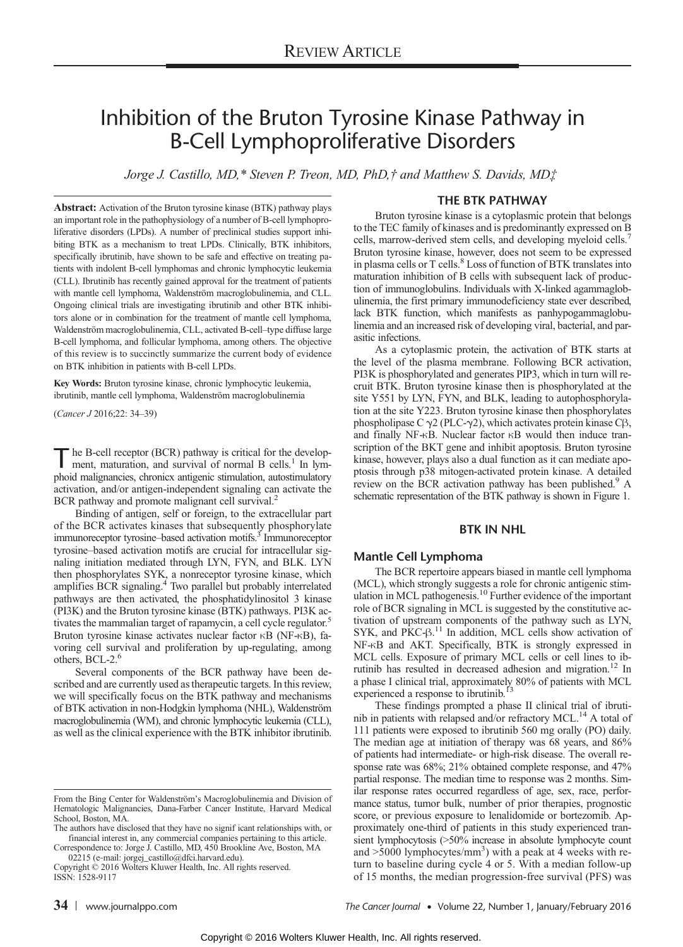# Inhibition of the Bruton Tyrosine Kinase Pathway in B-Cell Lymphoproliferative Disorders

Jorge J. Castillo, MD,\* Steven P. Treon, MD, PhD,† and Matthew S. Davids, MD‡

Abstract: Activation of the Bruton tyrosine kinase (BTK) pathway plays an important role in the pathophysiology of a number of B-cell lymphoproliferative disorders (LPDs). A number of preclinical studies support inhibiting BTK as a mechanism to treat LPDs. Clinically, BTK inhibitors, specifically ibrutinib, have shown to be safe and effective on treating patients with indolent B-cell lymphomas and chronic lymphocytic leukemia (CLL). Ibrutinib has recently gained approval for the treatment of patients with mantle cell lymphoma, Waldenström macroglobulinemia, and CLL. Ongoing clinical trials are investigating ibrutinib and other BTK inhibitors alone or in combination for the treatment of mantle cell lymphoma, Waldenström macroglobulinemia, CLL, activated B-cell–type diffuse large B-cell lymphoma, and follicular lymphoma, among others. The objective of this review is to succinctly summarize the current body of evidence on BTK inhibition in patients with B-cell LPDs.

Key Words: Bruton tyrosine kinase, chronic lymphocytic leukemia, ibrutinib, mantle cell lymphoma, Waldenström macroglobulinemia

(Cancer J 2016;22: 34–39)

In B-cell receptor (BCR) pathway is critical for the development, maturation, and survival of normal B cells.<sup>1</sup> In lymphoid malignancies, chronicx antigenic stimulation, autostimulatory activation, and/or antigen-independent signaling can activate the BCR pathway and promote malignant cell survival.<sup>2</sup>

Binding of antigen, self or foreign, to the extracellular part of the BCR activates kinases that subsequently phosphorylate immunoreceptor tyrosine–based activation motifs.<sup>3</sup> Immunoreceptor tyrosine–based activation motifs are crucial for intracellular signaling initiation mediated through LYN, FYN, and BLK. LYN then phosphorylates SYK, a nonreceptor tyrosine kinase, which<br>amplifies BCR signaling.<sup>4</sup> Two parallel but probably interrelated pathways are then activated, the phosphatidylinositol 3 kinase (PI3K) and the Bruton tyrosine kinase (BTK) pathways. PI3K activates the mammalian target of rapamycin, a cell cycle regulator.<sup>5</sup> Bruton tyrosine kinase activates nuclear factor κB (NF-κB), favoring cell survival and proliferation by up-regulating, among others, BCL-2.<sup>6</sup>

Several components of the BCR pathway have been described and are currently used as therapeutic targets. In this review, we will specifically focus on the BTK pathway and mechanisms of BTK activation in non-Hodgkin lymphoma (NHL), Waldenström macroglobulinemia (WM), and chronic lymphocytic leukemia (CLL), as well as the clinical experience with the BTK inhibitor ibrutinib.

The authors have disclosed that they have no signif icant relationships with, or financial interest in, any commercial companies pertaining to this article.

Correspondence to: Jorge J. Castillo, MD, 450 Brookline Ave, Boston, MA 02215 (e-mail: [jorgej\\_castillo@dfci.harvard.edu](mailto:jorgej_castillo@dfci.harvard.edu)).

# THE BTK PATHWAY

Bruton tyrosine kinase is a cytoplasmic protein that belongs to the TEC family of kinases and is predominantly expressed on B cells, marrow-derived stem cells, and developing myeloid cells.7 Bruton tyrosine kinase, however, does not seem to be expressed in plasma cells or T cells.<sup>8</sup> Loss of function of BTK translates into maturation inhibition of B cells with subsequent lack of production of immunoglobulins. Individuals with X-linked agammaglobulinemia, the first primary immunodeficiency state ever described, lack BTK function, which manifests as panhypogammaglobulinemia and an increased risk of developing viral, bacterial, and parasitic infections.

As a cytoplasmic protein, the activation of BTK starts at the level of the plasma membrane. Following BCR activation, PI3K is phosphorylated and generates PIP3, which in turn will recruit BTK. Bruton tyrosine kinase then is phosphorylated at the site Y551 by LYN, FYN, and BLK, leading to autophosphorylation at the site Y223. Bruton tyrosine kinase then phosphorylates phospholipase C  $\gamma$ 2 (PLC- $\gamma$ 2), which activates protein kinase Cβ, and finally NF-κB. Nuclear factor κB would then induce transcription of the BKT gene and inhibit apoptosis. Bruton tyrosine kinase, however, plays also a dual function as it can mediate apoptosis through p38 mitogen-activated protein kinase. A detailed review on the BCR activation pathway has been published.<sup>9</sup> A schematic representation of the BTK pathway is shown in Figure 1.

# BTK IN NHL

## Mantle Cell Lymphoma

The BCR repertoire appears biased in mantle cell lymphoma (MCL), which strongly suggests a role for chronic antigenic stimulation in MCL pathogenesis.10 Further evidence of the important role of BCR signaling in MCL is suggested by the constitutive activation of upstream components of the pathway such as LYN, SYK, and PKC-β.<sup>11</sup> In addition, MCL cells show activation of NF-κB and AKT. Specifically, BTK is strongly expressed in MCL cells. Exposure of primary MCL cells or cell lines to ibrutinib has resulted in decreased adhesion and migration.<sup>12</sup> In a phase I clinical trial, approximately 80% of patients with MCL experienced a response to ibrutinib.<sup>1</sup>

These findings prompted a phase II clinical trial of ibrutinib in patients with relapsed and/or refractory MCL.<sup>14</sup> A total of 111 patients were exposed to ibrutinib 560 mg orally (PO) daily. The median age at initiation of therapy was 68 years, and 86% of patients had intermediate- or high-risk disease. The overall response rate was 68%; 21% obtained complete response, and 47% partial response. The median time to response was 2 months. Similar response rates occurred regardless of age, sex, race, performance status, tumor bulk, number of prior therapies, prognostic score, or previous exposure to lenalidomide or bortezomib. Approximately one-third of patients in this study experienced transient lymphocytosis (>50% increase in absolute lymphocyte count and  $>5000$  lymphocytes/mm<sup>3</sup>) with a peak at 4 weeks with return to baseline during cycle 4 or 5. With a median follow-up of 15 months, the median progression-free survival (PFS) was

From the Bing Center for Waldenström's Macroglobulinemia and Division of Hematologic Malignancies, Dana-Farber Cancer Institute, Harvard Medical School, Boston, MA.

Copyright © 2016 Wolters Kluwer Health, Inc. All rights reserved. ISSN: 1528-9117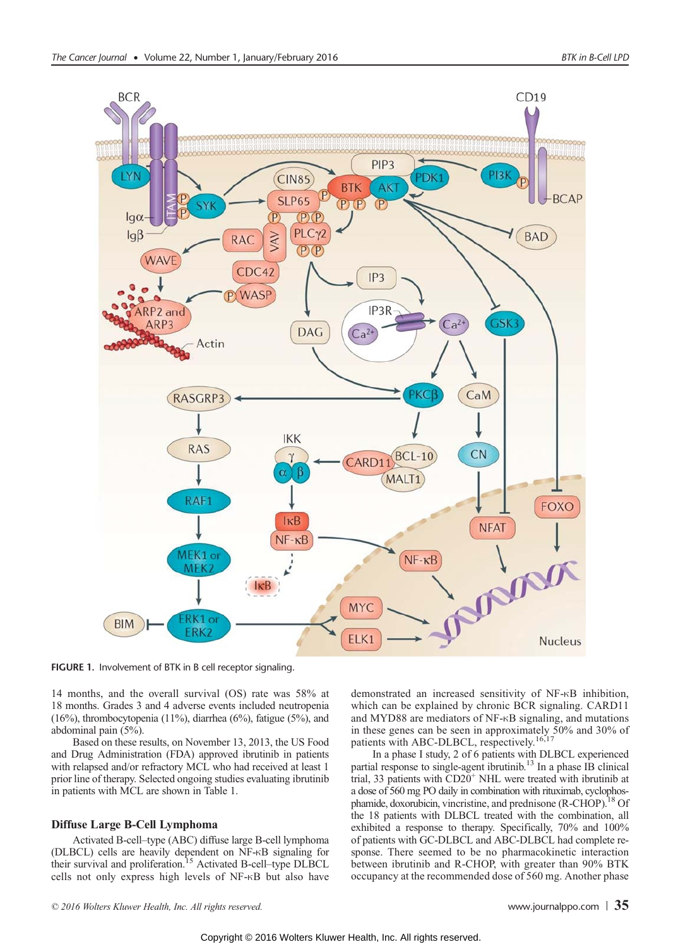

FIGURE 1. Involvement of BTK in B cell receptor signaling.

14 months, and the overall survival (OS) rate was 58% at 18 months. Grades 3 and 4 adverse events included neutropenia (16%), thrombocytopenia (11%), diarrhea (6%), fatigue (5%), and abdominal pain (5%).

Based on these results, on November 13, 2013, the US Food and Drug Administration (FDA) approved ibrutinib in patients with relapsed and/or refractory MCL who had received at least 1 prior line of therapy. Selected ongoing studies evaluating ibrutinib in patients with MCL are shown in Table 1.

# Diffuse Large B-Cell Lymphoma

Activated B-cell–type (ABC) diffuse large B-cell lymphoma (DLBCL) cells are heavily dependent on NF-κB signaling for their survival and proliferation.<sup>15</sup> Activated B-cell-type DLBCL cells not only express high levels of NF-κB but also have demonstrated an increased sensitivity of NF-κB inhibition, which can be explained by chronic BCR signaling. CARD11 and MYD88 are mediators of NF-κB signaling, and mutations in these genes can be seen in approximately 50% and 30% of patients with ABC-DLBCL, respectively.<sup>16,1</sup>

In a phase I study, 2 of 6 patients with DLBCL experienced partial response to single-agent ibrutinib.<sup>13</sup> In a phase IB clinical trial, 33 patients with  $CD20<sup>+</sup>$  NHL were treated with ibrutinib at a dose of 560 mg PO daily in combination with rituximab, cyclophosphamide, doxorubicin, vincristine, and prednisone (R-CHOP).<sup>18</sup> Of the 18 patients with DLBCL treated with the combination, all exhibited a response to therapy. Specifically, 70% and 100% of patients with GC-DLBCL and ABC-DLBCL had complete response. There seemed to be no pharmacokinetic interaction between ibrutinib and R-CHOP, with greater than 90% BTK occupancy at the recommended dose of 560 mg. Another phase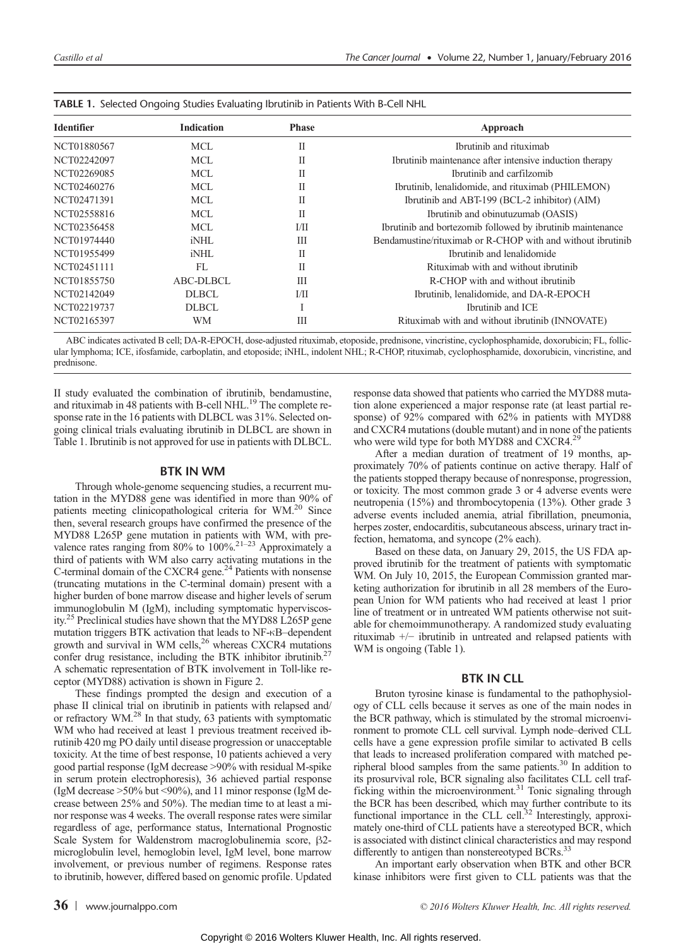| <b>Identifier</b> | Indication       | <b>Phase</b> | Approach                                                    |
|-------------------|------------------|--------------|-------------------------------------------------------------|
| NCT01880567       | MCL              | П            | Ibrutinib and rituximab                                     |
| NCT02242097       | MCL              | П            | Ibrutinib maintenance after intensive induction therapy     |
| NCT02269085       | <b>MCL</b>       | П            | Ibrutinib and carfilzomib                                   |
| NCT02460276       | MCL.             | П            | Ibrutinib, lenalidomide, and rituximab (PHILEMON)           |
| NCT02471391       | MCL              | П            | Ibrutinib and ABT-199 (BCL-2 inhibitor) (AIM)               |
| NCT02558816       | MCL              | $\mathbf{I}$ | Ibrutinib and obinutuzumab (OASIS)                          |
| NCT02356458       | MCL.             | 1/11         | Ibrutinib and bortezomib followed by ibrutinib maintenance  |
| NCT01974440       | iNHL             | Ш            | Bendamustine/rituximab or R-CHOP with and without ibrutinib |
| NCT01955499       | iNHL             | П            | Ibrutinib and lenalidomide                                  |
| NCT02451111       | FL.              | П            | Rituximab with and without ibrutinib                        |
| NCT01855750       | <b>ABC-DLBCL</b> | Ш            | R-CHOP with and without ibrutinib                           |
| NCT02142049       | DLBCL            | 1/11         | Ibrutinib, lenalidomide, and DA-R-EPOCH                     |
| NCT02219737       | <b>DLBCL</b>     |              | Ibrutinib and ICE                                           |
| NCT02165397       | WМ               | Ш            | Rituximab with and without ibrutinib (INNOVATE)             |

|  | TABLE 1. Selected Ongoing Studies Evaluating Ibrutinib in Patients With B-Cell NHL |
|--|------------------------------------------------------------------------------------|
|  |                                                                                    |

ABC indicates activated B cell; DA-R-EPOCH, dose-adjusted rituximab, etoposide, prednisone, vincristine, cyclophosphamide, doxorubicin; FL, follicular lymphoma; ICE, ifosfamide, carboplatin, and etoposide; iNHL, indolent NHL; R-CHOP, rituximab, cyclophosphamide, doxorubicin, vincristine, and prednisone.

II study evaluated the combination of ibrutinib, bendamustine, and rituximab in 48 patients with B-cell NHL.<sup>19</sup> The complete response rate in the 16 patients with DLBCL was 31%. Selected ongoing clinical trials evaluating ibrutinib in DLBCL are shown in Table 1. Ibrutinib is not approved for use in patients with DLBCL.

#### BTK IN WM

Through whole-genome sequencing studies, a recurrent mutation in the MYD88 gene was identified in more than 90% of patients meeting clinicopathological criteria for WM.<sup>20</sup> Since then, several research groups have confirmed the presence of the MYD88 L265P gene mutation in patients with WM, with pre-<br>valence rates ranging from 80% to 100%.<sup>21–23</sup> Approximately a third of patients with WM also carry activating mutations in the C-terminal domain of the CXCR4 gene.<sup>24</sup> Patients with nonsense (truncating mutations in the C-terminal domain) present with a higher burden of bone marrow disease and higher levels of serum immunoglobulin M (IgM), including symptomatic hyperviscosity.<sup>25</sup> Preclinical studies have shown that the MYD88 L265P gene mutation triggers BTK activation that leads to NF-κB–dependent growth and survival in WM cells,<sup>26</sup> whereas CXCR4 mutations confer drug resistance, including the BTK inhibitor ibrutinib.<sup>2</sup> A schematic representation of BTK involvement in Toll-like receptor (MYD88) activation is shown in Figure 2.

These findings prompted the design and execution of a phase II clinical trial on ibrutinib in patients with relapsed and/ or refractory WM. $^{28}$  In that study, 63 patients with symptomatic WM who had received at least 1 previous treatment received ibrutinib 420 mg PO daily until disease progression or unacceptable toxicity. At the time of best response, 10 patients achieved a very good partial response (IgM decrease >90% with residual M-spike in serum protein electrophoresis), 36 achieved partial response (IgM decrease >50% but <90%), and 11 minor response (IgM decrease between 25% and 50%). The median time to at least a minor response was 4 weeks. The overall response rates were similar regardless of age, performance status, International Prognostic Scale System for Waldenstrom macroglobulinemia score, β2 microglobulin level, hemoglobin level, IgM level, bone marrow involvement, or previous number of regimens. Response rates to ibrutinib, however, differed based on genomic profile. Updated

response data showed that patients who carried the MYD88 mutation alone experienced a major response rate (at least partial response) of 92% compared with 62% in patients with MYD88 and CXCR4 mutations (double mutant) and in none of the patients who were wild type for both MYD88 and CXCR4.<sup>29</sup>

After a median duration of treatment of 19 months, approximately 70% of patients continue on active therapy. Half of the patients stopped therapy because of nonresponse, progression, or toxicity. The most common grade 3 or 4 adverse events were neutropenia (15%) and thrombocytopenia (13%). Other grade 3 adverse events included anemia, atrial fibrillation, pneumonia, herpes zoster, endocarditis, subcutaneous abscess, urinary tract infection, hematoma, and syncope (2% each).

Based on these data, on January 29, 2015, the US FDA approved ibrutinib for the treatment of patients with symptomatic WM. On July 10, 2015, the European Commission granted marketing authorization for ibrutinib in all 28 members of the European Union for WM patients who had received at least 1 prior line of treatment or in untreated WM patients otherwise not suitable for chemoimmunotherapy. A randomized study evaluating rituximab +/− ibrutinib in untreated and relapsed patients with WM is ongoing (Table 1).

# BTK IN CLL

Bruton tyrosine kinase is fundamental to the pathophysiology of CLL cells because it serves as one of the main nodes in the BCR pathway, which is stimulated by the stromal microenvironment to promote CLL cell survival. Lymph node–derived CLL cells have a gene expression profile similar to activated B cells that leads to increased proliferation compared with matched peripheral blood samples from the same patients.<sup>30</sup> In addition to its prosurvival role, BCR signaling also facilitates CLL cell trafficking within the microenvironment.<sup>31</sup> Tonic signaling through the BCR has been described, which may further contribute to its functional importance in the CLL cell.<sup>32</sup> Interestingly, approximately one-third of CLL patients have a stereotyped BCR, which is associated with distinct clinical characteristics and may respond differently to antigen than nonstereotyped BCRs.<sup>33</sup>

An important early observation when BTK and other BCR kinase inhibitors were first given to CLL patients was that the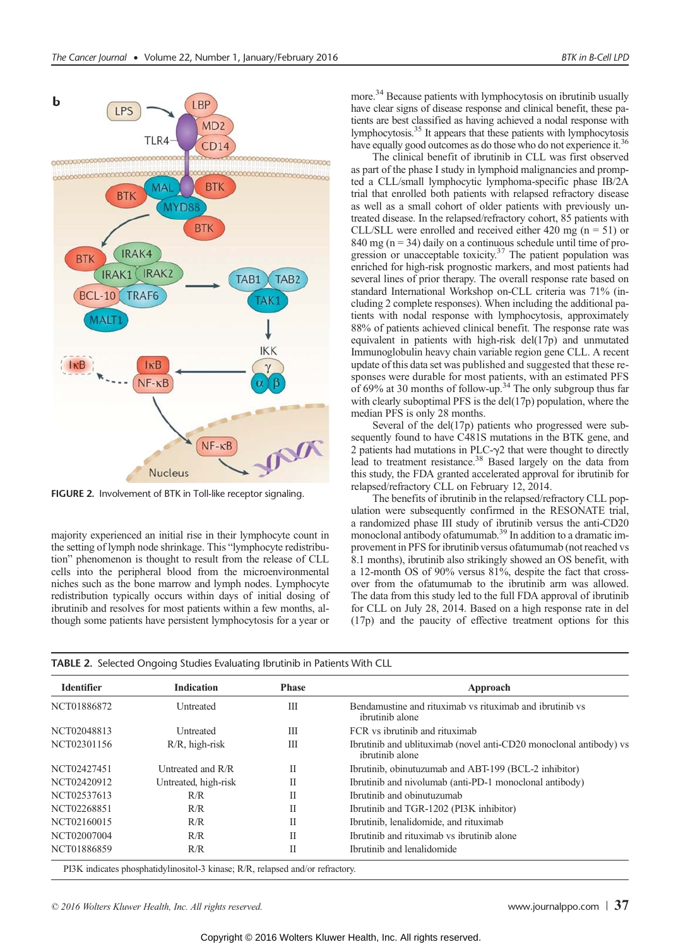

FIGURE 2. Involvement of BTK in Toll-like receptor signaling.

majority experienced an initial rise in their lymphocyte count in the setting of lymph node shrinkage. This "lymphocyte redistribution" phenomenon is thought to result from the release of CLL cells into the peripheral blood from the microenvironmental niches such as the bone marrow and lymph nodes. Lymphocyte redistribution typically occurs within days of initial dosing of ibrutinib and resolves for most patients within a few months, although some patients have persistent lymphocytosis for a year or

more.<sup>34</sup> Because patients with lymphocytosis on ibrutinib usually have clear signs of disease response and clinical benefit, these patients are best classified as having achieved a nodal response with lymphocytosis.35 It appears that these patients with lymphocytosis have equally good outcomes as do those who do not experience it.<sup>36</sup>

The clinical benefit of ibrutinib in CLL was first observed as part of the phase I study in lymphoid malignancies and prompted a CLL/small lymphocytic lymphoma-specific phase IB/2A trial that enrolled both patients with relapsed refractory disease as well as a small cohort of older patients with previously untreated disease. In the relapsed/refractory cohort, 85 patients with CLL/SLL were enrolled and received either 420 mg ( $n = 51$ ) or 840 mg ( $n = 34$ ) daily on a continuous schedule until time of progression or unacceptable toxicity.37 The patient population was enriched for high-risk prognostic markers, and most patients had several lines of prior therapy. The overall response rate based on standard International Workshop on-CLL criteria was 71% (including 2 complete responses). When including the additional patients with nodal response with lymphocytosis, approximately 88% of patients achieved clinical benefit. The response rate was equivalent in patients with high-risk del(17p) and unmutated Immunoglobulin heavy chain variable region gene CLL. A recent update of this data set was published and suggested that these responses were durable for most patients, with an estimated PFS of 69% at 30 months of follow-up.34 The only subgroup thus far with clearly suboptimal PFS is the del(17p) population, where the median PFS is only 28 months.

Several of the del(17p) patients who progressed were subsequently found to have C481S mutations in the BTK gene, and 2 patients had mutations in PLC-γ2 that were thought to directly lead to treatment resistance.<sup>38</sup> Based largely on the data from this study, the FDA granted accelerated approval for ibrutinib for relapsed/refractory CLL on February 12, 2014.

The benefits of ibrutinib in the relapsed/refractory CLL population were subsequently confirmed in the RESONATE trial, a randomized phase III study of ibrutinib versus the anti-CD20 monoclonal antibody ofatumumab.39 In addition to a dramatic improvement in PFS for ibrutinib versus ofatumumab (not reached vs 8.1 months), ibrutinib also strikingly showed an OS benefit, with a 12-month OS of 90% versus 81%, despite the fact that crossover from the ofatumumab to the ibrutinib arm was allowed. The data from this study led to the full FDA approval of ibrutinib for CLL on July 28, 2014. Based on a high response rate in del (17p) and the paucity of effective treatment options for this

| <b>Identifier</b> | <b>Indication</b>    | <b>Phase</b> | Approach                                                                              |
|-------------------|----------------------|--------------|---------------------------------------------------------------------------------------|
| NCT01886872       | Untreated            | Ш            | Bendamustine and rituximab vs rituximab and ibrutinib vs<br>ibrutinib alone           |
| NCT02048813       | Untreated            | Ш            | FCR vs ibrutinib and rituximab                                                        |
| NCT02301156       | $R/R$ , high-risk    | Ш            | Ibrutinib and ublituximab (novel anti-CD20 monoclonal antibody) vs<br>ibrutinib alone |
| NCT02427451       | Untreated and R/R    | П            | Ibrutinib, obinutuzumab and ABT-199 (BCL-2 inhibitor)                                 |
| NCT02420912       | Untreated, high-risk | Н            | Ibrutinib and nivolumab (anti-PD-1 monoclonal antibody)                               |
| NCT02537613       | R/R                  | П            | Ibrutinib and obinutuzumab                                                            |
| NCT02268851       | R/R                  | П            | Ibrutinib and TGR-1202 (PI3K inhibitor)                                               |
| NCT02160015       | R/R                  | Н            | Ibrutinib, lenalidomide, and rituximab                                                |
| NCT02007004       | R/R                  | Н            | Ibrutinib and rituximab vs ibrutinib alone                                            |
| NCT01886859       | R/R                  | П            | Ibrutinib and lenalidomide                                                            |

TABLE 2. Selected Ongoing Studies Evaluating Ibrutinib in Patients With CLL

PI3K indicates phosphatidylinositol-3 kinase; R/R, relapsed and/or refractory.

© 2016 Wolters Kluwer Health, Inc. All rights reserved.  $\overline{37}$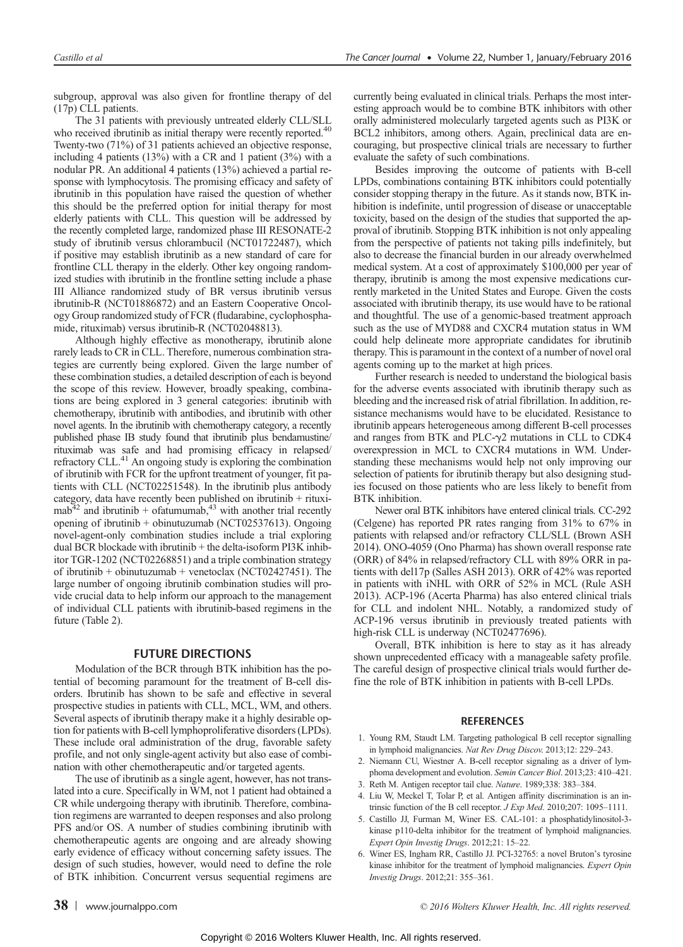subgroup, approval was also given for frontline therapy of del (17p) CLL patients.

The 31 patients with previously untreated elderly CLL/SLL who received ibrutinib as initial therapy were recently reported.<sup>40</sup> Twenty-two (71%) of 31 patients achieved an objective response, including 4 patients (13%) with a CR and 1 patient (3%) with a nodular PR. An additional 4 patients (13%) achieved a partial response with lymphocytosis. The promising efficacy and safety of ibrutinib in this population have raised the question of whether this should be the preferred option for initial therapy for most elderly patients with CLL. This question will be addressed by the recently completed large, randomized phase III RESONATE-2 study of ibrutinib versus chlorambucil (NCT01722487), which if positive may establish ibrutinib as a new standard of care for frontline CLL therapy in the elderly. Other key ongoing randomized studies with ibrutinib in the frontline setting include a phase III Alliance randomized study of BR versus ibrutinib versus ibrutinib-R (NCT01886872) and an Eastern Cooperative Oncology Group randomized study of FCR (fludarabine, cyclophosphamide, rituximab) versus ibrutinib-R (NCT02048813).

Although highly effective as monotherapy, ibrutinib alone rarely leads to CR in CLL. Therefore, numerous combination strategies are currently being explored. Given the large number of these combination studies, a detailed description of each is beyond the scope of this review. However, broadly speaking, combinations are being explored in 3 general categories: ibrutinib with chemotherapy, ibrutinib with antibodies, and ibrutinib with other novel agents. In the ibrutinib with chemotherapy category, a recently published phase IB study found that ibrutinib plus bendamustine/ rituximab was safe and had promising efficacy in relapsed/<br>refractory CLL.<sup>41</sup> An ongoing study is exploring the combination of ibrutinib with FCR for the upfront treatment of younger, fit patients with CLL (NCT02251548). In the ibrutinib plus antibody category, data have recently been published on ibrutinib + rituxi- $\text{mab}^{42}$  and ibrutinib + ofatumumab,<sup>43</sup> with another trial recently opening of ibrutinib + obinutuzumab (NCT02537613). Ongoing novel-agent-only combination studies include a trial exploring dual BCR blockade with ibrutinib + the delta-isoform PI3K inhibitor TGR-1202 (NCT02268851) and a triple combination strategy of ibrutinib + obinutuzumab + venetoclax (NCT02427451). The large number of ongoing ibrutinib combination studies will provide crucial data to help inform our approach to the management of individual CLL patients with ibrutinib-based regimens in the future (Table 2).

## FUTURE DIRECTIONS

Modulation of the BCR through BTK inhibition has the potential of becoming paramount for the treatment of B-cell disorders. Ibrutinib has shown to be safe and effective in several prospective studies in patients with CLL, MCL, WM, and others. Several aspects of ibrutinib therapy make it a highly desirable option for patients with B-cell lymphoproliferative disorders (LPDs). These include oral administration of the drug, favorable safety profile, and not only single-agent activity but also ease of combination with other chemotherapeutic and/or targeted agents.

The use of ibrutinib as a single agent, however, has not translated into a cure. Specifically in WM, not 1 patient had obtained a CR while undergoing therapy with ibrutinib. Therefore, combination regimens are warranted to deepen responses and also prolong PFS and/or OS. A number of studies combining ibrutinib with chemotherapeutic agents are ongoing and are already showing early evidence of efficacy without concerning safety issues. The design of such studies, however, would need to define the role of BTK inhibition. Concurrent versus sequential regimens are currently being evaluated in clinical trials. Perhaps the most interesting approach would be to combine BTK inhibitors with other orally administered molecularly targeted agents such as PI3K or BCL2 inhibitors, among others. Again, preclinical data are encouraging, but prospective clinical trials are necessary to further evaluate the safety of such combinations.

Besides improving the outcome of patients with B-cell LPDs, combinations containing BTK inhibitors could potentially consider stopping therapy in the future. As it stands now, BTK inhibition is indefinite, until progression of disease or unacceptable toxicity, based on the design of the studies that supported the approval of ibrutinib. Stopping BTK inhibition is not only appealing from the perspective of patients not taking pills indefinitely, but also to decrease the financial burden in our already overwhelmed medical system. At a cost of approximately \$100,000 per year of therapy, ibrutinib is among the most expensive medications currently marketed in the United States and Europe. Given the costs associated with ibrutinib therapy, its use would have to be rational and thoughtful. The use of a genomic-based treatment approach such as the use of MYD88 and CXCR4 mutation status in WM could help delineate more appropriate candidates for ibrutinib therapy. This is paramount in the context of a number of novel oral agents coming up to the market at high prices.

Further research is needed to understand the biological basis for the adverse events associated with ibrutinib therapy such as bleeding and the increased risk of atrial fibrillation. In addition, resistance mechanisms would have to be elucidated. Resistance to ibrutinib appears heterogeneous among different B-cell processes and ranges from BTK and PLC-γ2 mutations in CLL to CDK4 overexpression in MCL to CXCR4 mutations in WM. Understanding these mechanisms would help not only improving our selection of patients for ibrutinib therapy but also designing studies focused on those patients who are less likely to benefit from BTK inhibition.

Newer oral BTK inhibitors have entered clinical trials. CC-292 (Celgene) has reported PR rates ranging from 31% to 67% in patients with relapsed and/or refractory CLL/SLL (Brown ASH 2014). ONO-4059 (Ono Pharma) has shown overall response rate (ORR) of 84% in relapsed/refractory CLL with 89% ORR in patients with del17p (Salles ASH 2013). ORR of 42% was reported in patients with iNHL with ORR of 52% in MCL (Rule ASH 2013). ACP-196 (Acerta Pharma) has also entered clinical trials for CLL and indolent NHL. Notably, a randomized study of ACP-196 versus ibrutinib in previously treated patients with high-risk CLL is underway (NCT02477696).

Overall, BTK inhibition is here to stay as it has already shown unprecedented efficacy with a manageable safety profile. The careful design of prospective clinical trials would further define the role of BTK inhibition in patients with B-cell LPDs.

#### **REFERENCES**

- 1. Young RM, Staudt LM. Targeting pathological B cell receptor signalling in lymphoid malignancies. Nat Rev Drug Discov. 2013;12: 229–243.
- 2. Niemann CU, Wiestner A. B-cell receptor signaling as a driver of lymphoma development and evolution. Semin Cancer Biol. 2013;23: 410–421.
- 3. Reth M. Antigen receptor tail clue. Nature. 1989;338: 383–384. 4. Liu W, Meckel T, Tolar P, et al. Antigen affinity discrimination is an intrinsic function of the B cell receptor. *J Exp Med*. 2010;207: 1095-1111.
- 5. Castillo JJ, Furman M, Winer ES. CAL-101: a phosphatidylinositol-3 kinase p110-delta inhibitor for the treatment of lymphoid malignancies. Expert Opin Investig Drugs. 2012;21: 15–22.
- 6. Winer ES, Ingham RR, Castillo JJ. PCI-32765: a novel Bruton's tyrosine kinase inhibitor for the treatment of lymphoid malignancies. Expert Opin Investig Drugs. 2012;21: 355–361.